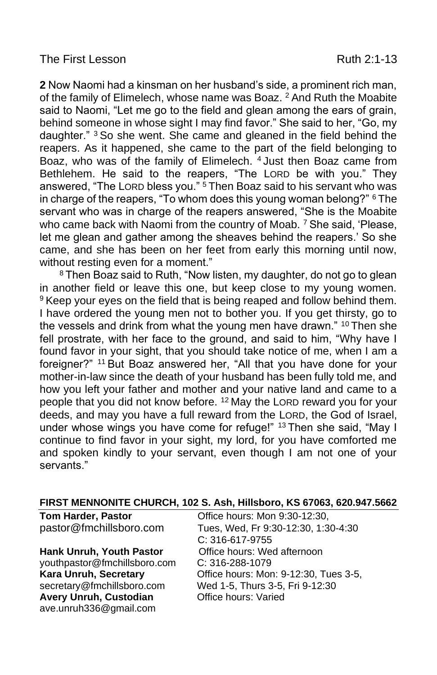**2** Now Naomi had a kinsman on her husband's side, a prominent rich man, of the family of Elimelech, whose name was Boaz. <sup>2</sup> And Ruth the Moabite said to Naomi, "Let me go to the field and glean among the ears of grain, behind someone in whose sight I may find favor." She said to her, "Go, my daughter." <sup>3</sup> So she went. She came and gleaned in the field behind the reapers. As it happened, she came to the part of the field belonging to Boaz, who was of the family of Elimelech. <sup>4</sup> Just then Boaz came from Bethlehem. He said to the reapers, "The LORD be with you." They answered, "The LORD bless you." <sup>5</sup> Then Boaz said to his servant who was in charge of the reapers, "To whom does this young woman belong?" <sup>6</sup> The servant who was in charge of the reapers answered, "She is the Moabite who came back with Naomi from the country of Moab. <sup>7</sup> She said, 'Please, let me glean and gather among the sheaves behind the reapers.' So she came, and she has been on her feet from early this morning until now, without resting even for a moment."

<sup>8</sup> Then Boaz said to Ruth, "Now listen, my daughter, do not go to glean in another field or leave this one, but keep close to my young women. <sup>9</sup> Keep your eyes on the field that is being reaped and follow behind them. I have ordered the young men not to bother you. If you get thirsty, go to the vessels and drink from what the young men have drawn." <sup>10</sup> Then she fell prostrate, with her face to the ground, and said to him, "Why have I found favor in your sight, that you should take notice of me, when I am a foreigner?" <sup>11</sup> But Boaz answered her, "All that you have done for your mother-in-law since the death of your husband has been fully told me, and how you left your father and mother and your native land and came to a people that you did not know before. <sup>12</sup> May the LORD reward you for your deeds, and may you have a full reward from the LORD, the God of Israel, under whose wings you have come for refuge!" <sup>13</sup> Then she said, "May I continue to find favor in your sight, my lord, for you have comforted me and spoken kindly to your servant, even though I am not one of your servants."

| FIRST MENNONITE CHURCH, 102 S. Ash, Hillsboro, KS 67063, 620.947.5662 |                                       |  |  |  |
|-----------------------------------------------------------------------|---------------------------------------|--|--|--|
| <b>Tom Harder, Pastor</b>                                             | Office hours: Mon 9:30-12:30,         |  |  |  |
| pastor@fmchillsboro.com                                               | Tues, Wed, Fr 9:30-12:30, 1:30-4:30   |  |  |  |
|                                                                       | C: 316-617-9755                       |  |  |  |
| <b>Hank Unruh, Youth Pastor</b>                                       | Office hours: Wed afternoon           |  |  |  |
| youthpastor@fmchillsboro.com                                          | $C: 316 - 288 - 1079$                 |  |  |  |
| Kara Unruh, Secretary                                                 | Office hours: Mon: 9-12:30, Tues 3-5, |  |  |  |
| secretary@fmchillsboro.com                                            | Wed 1-5, Thurs 3-5, Fri 9-12:30       |  |  |  |
| Avery Unruh, Custodian                                                | Office hours: Varied                  |  |  |  |
| ave.unruh336@gmail.com                                                |                                       |  |  |  |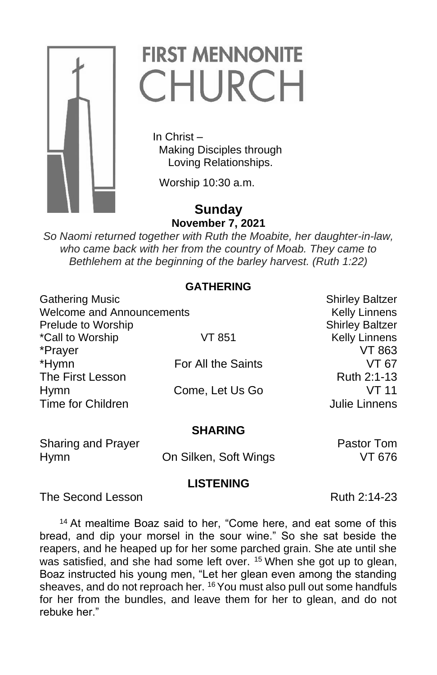

# **FIRST MENNONITE** CHURCH

 In Christ – Making Disciples through Loving Relationships.

Worship 10:30 a.m.

# **Sunday November 7, 2021**

*So Naomi returned together with Ruth the Moabite, her daughter-in-law, who came back with her from the country of Moab. They came to Bethlehem at the beginning of the barley harvest. (Ruth 1:22)*

#### **GATHERING**

| <b>Gathering Music</b>    |                    | <b>Shirley Baltzer</b> |
|---------------------------|--------------------|------------------------|
| Welcome and Announcements |                    | <b>Kelly Linnens</b>   |
| Prelude to Worship        |                    | <b>Shirley Baltzer</b> |
| *Call to Worship          | VT 851             | <b>Kelly Linnens</b>   |
| *Prayer                   |                    | VT 863                 |
| *Hymn                     | For All the Saints | VT 67                  |
| The First Lesson          |                    | Ruth 2:1-13            |
| <b>Hymn</b>               | Come, Let Us Go    | VT 11                  |
| Time for Children         |                    | Julie Linnens          |
|                           |                    |                        |

#### **SHARING**

Sharing and Prayer **Pastor Tom** 

Hymn On Silken, Soft Wings VT 676

### **LISTENING**

The Second Lesson **Ruth 2:14-23** 

<sup>14</sup> At mealtime Boaz said to her, "Come here, and eat some of this bread, and dip your morsel in the sour wine." So she sat beside the reapers, and he heaped up for her some parched grain. She ate until she was satisfied, and she had some left over. <sup>15</sup> When she got up to glean, Boaz instructed his young men, "Let her glean even among the standing sheaves, and do not reproach her. <sup>16</sup> You must also pull out some handfuls for her from the bundles, and leave them for her to glean, and do not rebuke her."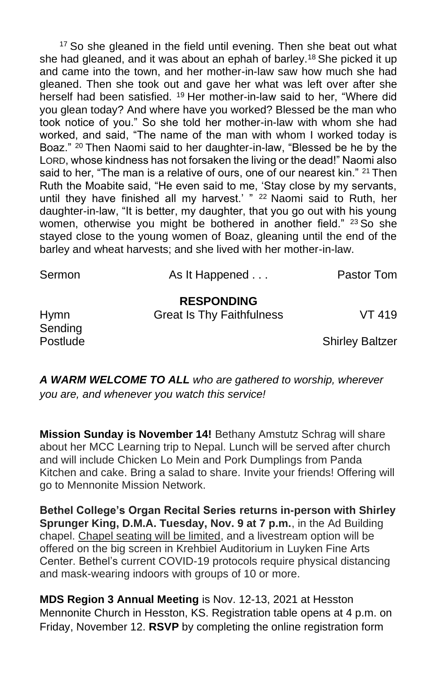<sup>17</sup> So she gleaned in the field until evening. Then she beat out what she had gleaned, and it was about an ephah of barley.<sup>18</sup> She picked it up and came into the town, and her mother-in-law saw how much she had gleaned. Then she took out and gave her what was left over after she herself had been satisfied. <sup>19</sup> Her mother-in-law said to her, "Where did you glean today? And where have you worked? Blessed be the man who took notice of you." So she told her mother-in-law with whom she had worked, and said, "The name of the man with whom I worked today is Boaz." <sup>20</sup> Then Naomi said to her daughter-in-law, "Blessed be he by the LORD, whose kindness has not forsaken the living or the dead!" Naomi also said to her, "The man is a relative of ours, one of our nearest kin." <sup>21</sup> Then Ruth the Moabite said, "He even said to me, 'Stay close by my servants, until they have finished all my harvest.' " <sup>22</sup> Naomi said to Ruth, her daughter-in-law, "It is better, my daughter, that you go out with his young women, otherwise you might be bothered in another field." <sup>23</sup> So she stayed close to the young women of Boaz, gleaning until the end of the barley and wheat harvests; and she lived with her mother-in-law.

| Sermon                 | As It Happened                   | Pastor Tom      |
|------------------------|----------------------------------|-----------------|
|                        | <b>RESPONDING</b>                | VT 419          |
| <b>Hymn</b><br>Sending | <b>Great Is Thy Faithfulness</b> |                 |
| Postlude               |                                  | Shirley Baltzer |

**Shirley Baltzer** 

*A WARM WELCOME TO ALL who are gathered to worship, wherever you are, and whenever you watch this service!*

**Mission Sunday is November 14!** Bethany Amstutz Schrag will share about her MCC Learning trip to Nepal. Lunch will be served after church and will include Chicken Lo Mein and Pork Dumplings from Panda Kitchen and cake. Bring a salad to share. Invite your friends! Offering will go to Mennonite Mission Network.

**Bethel College's Organ Recital Series returns in-person with Shirley Sprunger King, D.M.A. Tuesday, Nov. 9 at 7 p.m.**, in the Ad Building chapel. Chapel seating will be limited, and a livestream option will be offered on the big screen in Krehbiel Auditorium in Luyken Fine Arts Center. Bethel's current COVID-19 protocols require physical distancing and mask-wearing indoors with groups of 10 or more.

**MDS Region 3 Annual Meeting** is Nov. 12-13, 2021 at Hesston Mennonite Church in Hesston, KS. Registration table opens at 4 p.m. on Friday, November 12. **RSVP** by completing the online registration form